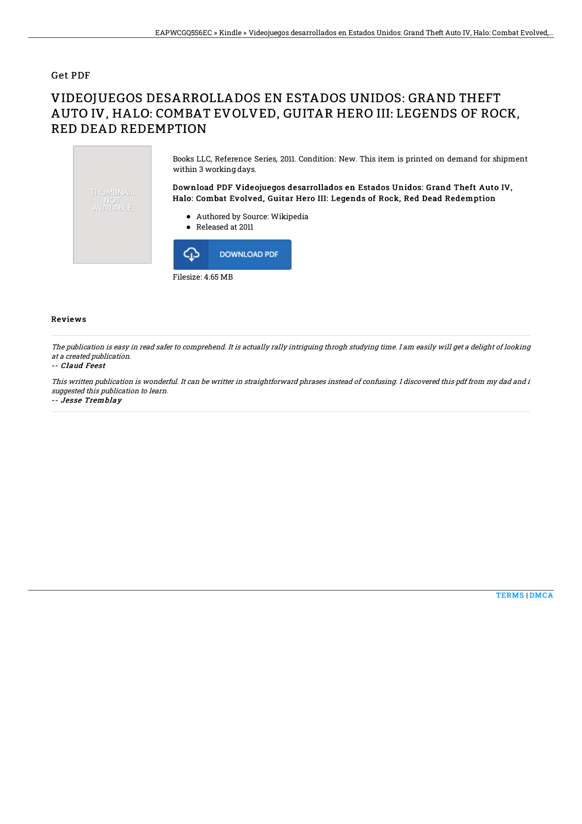### Get PDF

# VIDEOJUEGOS DESARROLLADOS EN ESTADOS UNIDOS: GRAND THEFT AUTO IV, HALO: COMBAT EVOLVED, GUITAR HERO III: LEGENDS OF ROCK, RED DEAD REDEMPTION



#### Reviews

The publication is easy in read safer to comprehend. It is actually rally intriguing throgh studying time. I am easily will get <sup>a</sup> delight of looking at <sup>a</sup> created publication.

#### -- Claud Feest

This written publication is wonderful. It can be writter in straightforward phrases instead of confusing. I discovered this pdf from my dad and i suggested this publication to learn.

-- Jesse Tremblay